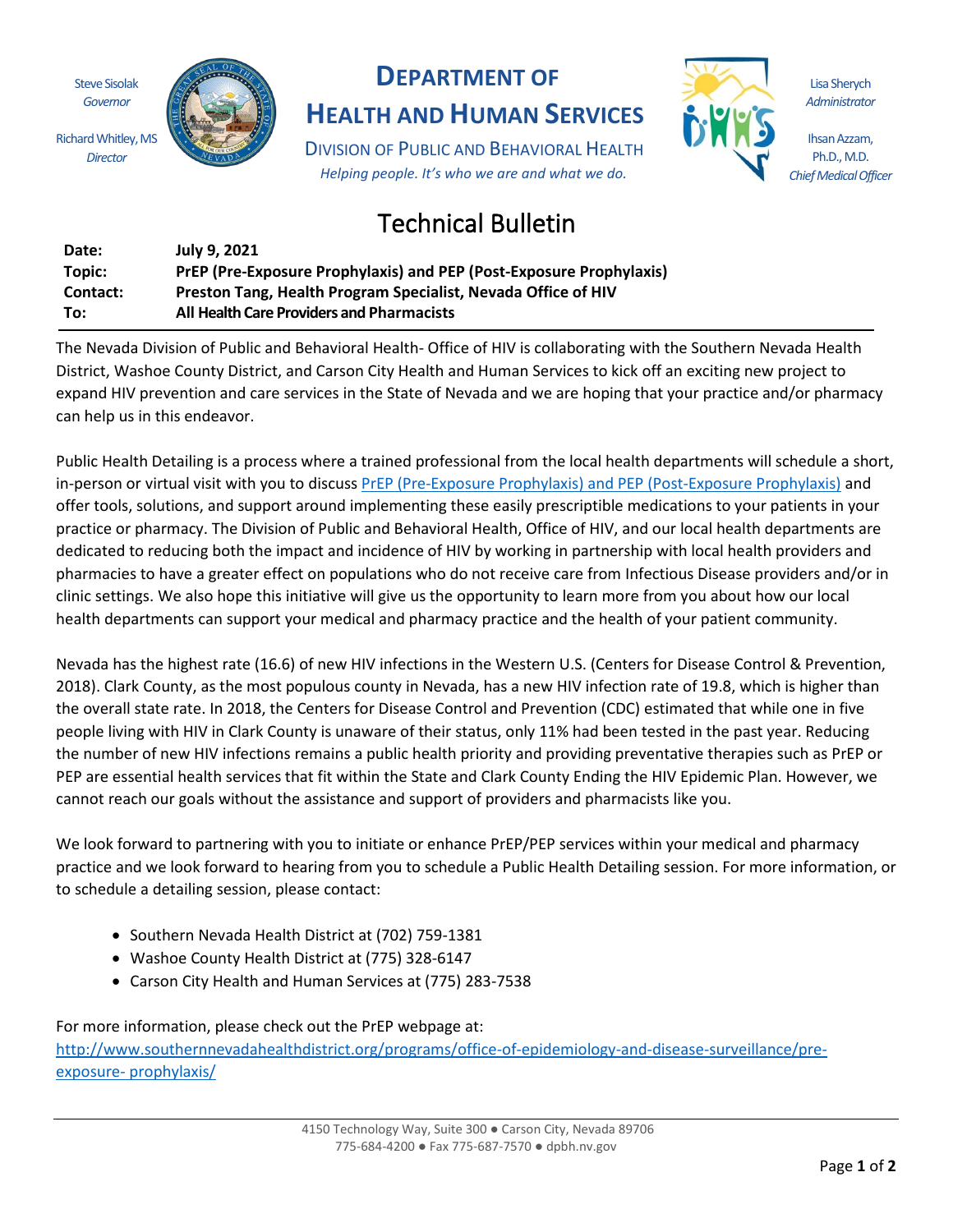Steve Sisolak *Governor* Richard Whitley, MS

*Director*



## **DEPARTMENT OF**

## **HEALTH AND HUMAN SERVICES**

DIVISION OF PUBLIC AND BEHAVIORAL HEALTH *Helping people. It's who we are and what we do.*

## Technical Bulletin

| Date:    | <b>July 9. 2021</b>                                                 |
|----------|---------------------------------------------------------------------|
| Topic:   | PrEP (Pre-Exposure Prophylaxis) and PEP (Post-Exposure Prophylaxis) |
| Contact: | Preston Tang, Health Program Specialist, Nevada Office of HIV       |
| To:      | <b>All Health Care Providers and Pharmacists</b>                    |

The Nevada Division of Public and Behavioral Health- Office of HIV is collaborating with the Southern Nevada Health District, Washoe County District, and Carson City Health and Human Services to kick off an exciting new project to expand HIV prevention and care services in the State of Nevada and we are hoping that your practice and/or pharmacy can help us in this endeavor.

Public Health Detailing is a process where a trained professional from the local health departments will schedule a short, in-person or virtual visit with you to discuss PrEP (Pre-Exposure Prophylaxis) and PEP (Post-Exposure Prophylaxis) and offer tools, solutions, and support around implementing these easily prescriptible medications to your patients in your practice or pharmacy. The Division of Public and Behavioral Health, Office of HIV, and our local health departments are dedicated to reducing both the impact and incidence of HIV by working in partnership with local health providers and pharmacies to have a greater effect on populations who do not receive care from Infectious Disease providers and/or in clinic settings. We also hope this initiative will give us the opportunity to learn more from you about how our local health departments can support your medical and pharmacy practice and the health of your patient community.

Nevada has the highest rate (16.6) of new HIV infections in the Western U.S. (Centers for Disease Control & Prevention, 2018). Clark County, as the most populous county in Nevada, has a new HIV infection rate of 19.8, which is higher than the overall state rate. In 2018, the Centers for Disease Control and Prevention (CDC) estimated that while one in five people living with HIV in Clark County is unaware of their status, only 11% had been tested in the past year. Reducing the number of new HIV infections remains a public health priority and providing preventative therapies such as PrEP or PEP are essential health services that fit within the State and Clark County Ending the HIV Epidemic Plan. However, we cannot reach our goals without the assistance and support of providers and pharmacists like you.

We look forward to partnering with you to initiate or enhance PrEP/PEP services within your medical and pharmacy practice and we look forward to hearing from you to schedule a Public Health Detailing session. For more information, or to schedule a detailing session, please contact:

- Southern Nevada Health District at (702) 759-1381
- Washoe County Health District at (775) 328-6147
- Carson City Health and Human Services at (775) 283-7538

For more information, please check out the PrEP webpage at: http://www.southernnevadahealthdistrict.org/programs/office-of-epidemiology-and-disease-surveillance/preexposure- prophylaxis/

Lisa Sherych *Administrator*

Ihsan Azzam, Ph.D., M.D. *Chief Medical Officer*